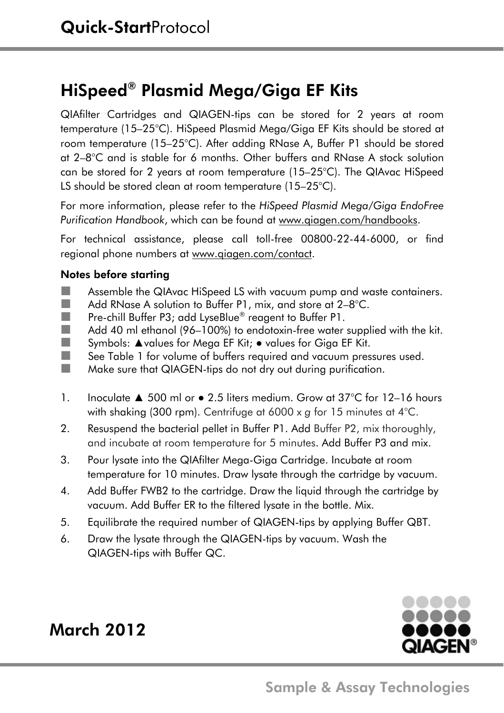## HiSpeed® Plasmid Mega/Giga EF Kits

QIAfilter Cartridges and QIAGEN-tips can be stored for 2 years at room temperature (15–25°C). HiSpeed Plasmid Mega/Giga EF Kits should be stored at room temperature (15–25°C). After adding RNase A, Buffer P1 should be stored at 2–8°C and is stable for 6 months. Other buffers and RNase A stock solution can be stored for 2 years at room temperature (15–25°C). The QIAvac HiSpeed LS should be stored clean at room temperature (15–25°C).

For more information, please refer to the *HiSpeed Plasmid Mega/Giga EndoFree Purification Handbook*, which can be found at www.qiagen.com/handbooks.

For technical assistance, please call toll-free 00800-22-44-6000, or find regional phone numbers at www.qiagen.com/contact.

## Notes before starting

- **Assemble the QIAvac HiSpeed LS with vacuum pump and waste containers.**
- Add RNase A solution to Buffer P1, mix, and store at 2–8°C.
- **Pre-chill Buffer P3; add LyseBlue® reagent to Buffer P1.**<br>Add 40 mLethanol (96–100%) to endotoxin-free water
- Add 40 ml ethanol (96–100%) to endotoxin-free water supplied with the kit.
- Symbols: ▲values for Mega EF Kit; values for Giga EF Kit.
- See Table 1 for volume of buffers required and vacuum pressures used.
- **Make sure that QIAGEN-tips do not dry out during purification.**
- 1. Inoculate ▲ 500 ml or 2.5 liters medium. Grow at 37°C for 12–16 hours with shaking (300 rpm). Centrifuge at 6000 x *g* for 15 minutes at 4°C.
- 2. Resuspend the bacterial pellet in Buffer P1. Add Buffer P2, mix thoroughly, and incubate at room temperature for 5 minutes. Add Buffer P3 and mix.
- 3. Pour lysate into the QIAfilter Mega-Giga Cartridge. Incubate at room temperature for 10 minutes. Draw lysate through the cartridge by vacuum.
- 4. Add Buffer FWB2 to the cartridge. Draw the liquid through the cartridge by vacuum. Add Buffer ER to the filtered lysate in the bottle. Mix.
- 5. Equilibrate the required number of QIAGEN-tips by applying Buffer QBT.
- 6. Draw the lysate through the QIAGEN-tips by vacuum. Wash the QIAGEN-tips with Buffer QC.



## March 2012